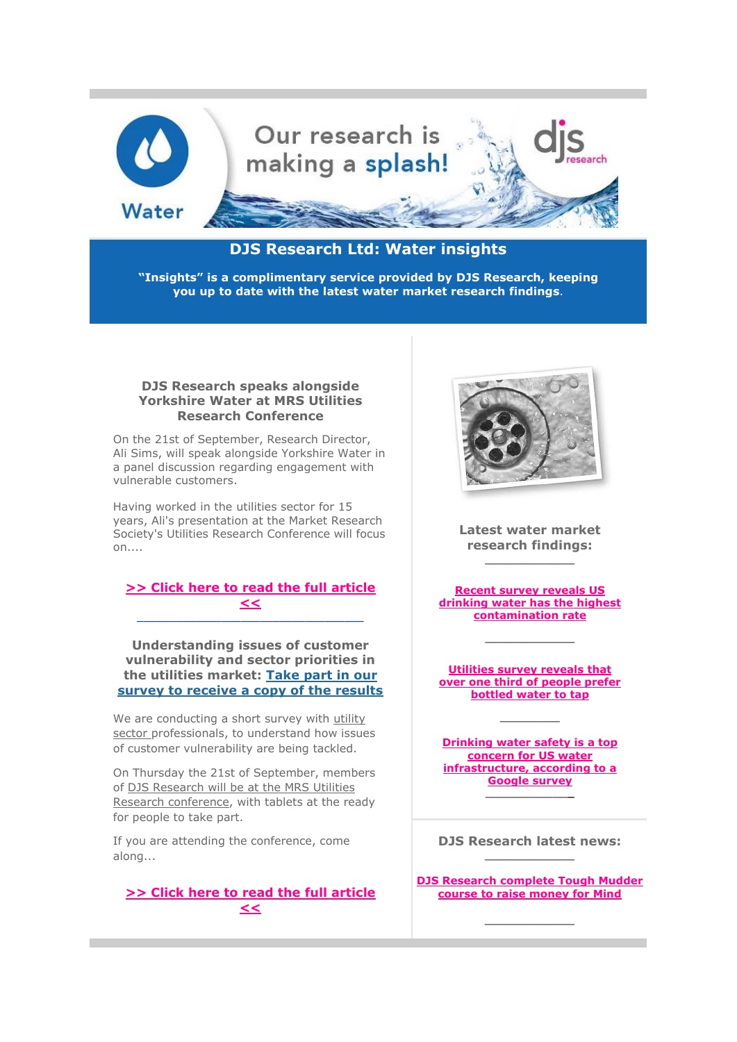

# **DJS Research Ltd: Water insights**

**"Insights" is a complimentary service provided by DJS Research, keeping you up to date with the latest water market research findings**.

## **DJS Research speaks alongside Yorkshire Water at MRS Utilities Research Conference**

On the 21st of September, Research Director, Ali Sims, will speak alongside Yorkshire Water in a panel discussion regarding engagement with vulnerable customers.

Having worked in the utilities sector for 15 years, Ali's presentation at the Market Research Society's Utilities Research Conference will focus  $on...$ 

#### **[>> Click here to read the full article](http://click.icptrack.com/icp/relay.php?r=&msgid=0&act=111111&c=948381&destination=http%3A%2F%2Fwww.djsresearch.co.uk%2Fnews%2Farticle%2FDJS-Research-speaks-alongside-Yorkshire-Water-at-MRS-Utilities-Research-Conference)  [<<](http://click.icptrack.com/icp/relay.php?r=&msgid=0&act=111111&c=948381&destination=http%3A%2F%2Fwww.djsresearch.co.uk%2Fnews%2Farticle%2FDJS-Research-speaks-alongside-Yorkshire-Water-at-MRS-Utilities-Research-Conference)** \_\_\_\_\_\_\_\_\_\_\_\_\_\_\_\_\_\_\_\_\_\_\_\_\_\_\_\_\_\_\_\_\_\_\_

**Understanding issues of customer vulnerability and sector priorities in the utilities market: [Take part in our](http://click.icptrack.com/icp/relay.php?r=&msgid=0&act=111111&c=948381&destination=http%3A%2F%2Finterviewer.djsresearch.com%2Fscripts%2Fdubinterviewer.dll%2FPage%3FQuest%3D4738%26%3D%26QW105%3D500757%26Resp%3D876778608%26redirected%3D1%26device%3DPC%26plugin%3DSILVERLIGHT%26html5%3DCANVAS%2CAUDIO%2CAUDIO_MP3%2CAUDIO_WAV%2CAUDIO_M4A%2CVIDEO%2CVIDEO_H264%2CLOCALSTORAGE%2CWEBWORKERS%2COFFLINEAPP%2CGEOLOCATION%2CINPUT_SEARCH%2CINPUT_NUMBER%2CINPUT_RANGE%2CINPUT_TEL%2CINPUT_URL%2CINPUT_EMAIL%2CPLACEHOLDER%2CAUTOFOCUS%2CHISTORY)  [survey to receive a copy of the results](http://click.icptrack.com/icp/relay.php?r=&msgid=0&act=111111&c=948381&destination=http%3A%2F%2Finterviewer.djsresearch.com%2Fscripts%2Fdubinterviewer.dll%2FPage%3FQuest%3D4738%26%3D%26QW105%3D500757%26Resp%3D876778608%26redirected%3D1%26device%3DPC%26plugin%3DSILVERLIGHT%26html5%3DCANVAS%2CAUDIO%2CAUDIO_MP3%2CAUDIO_WAV%2CAUDIO_M4A%2CVIDEO%2CVIDEO_H264%2CLOCALSTORAGE%2CWEBWORKERS%2COFFLINEAPP%2CGEOLOCATION%2CINPUT_SEARCH%2CINPUT_NUMBER%2CINPUT_RANGE%2CINPUT_TEL%2CINPUT_URL%2CINPUT_EMAIL%2CPLACEHOLDER%2CAUTOFOCUS%2CHISTORY)**

We are conducting a short survey with utility [sector](http://click.icptrack.com/icp/relay.php?r=&msgid=0&act=111111&c=948381&destination=http%3A%2F%2Fwww.djsresearch.co.uk%2FsubLevels%2FsubLevel%2F18%2FUtilities) professionals, to understand how issues of customer vulnerability are being tackled.

On Thursday the 21st of September, members of DJS Research will be at the MRS Utilities [Research conference,](http://click.icptrack.com/icp/relay.php?r=&msgid=0&act=111111&c=948381&destination=http%3A%2F%2Fwww.djsresearch.co.uk%2Fnews%2Farticle%2FDJS-Research-speaks-alongside-Yorkshire-Water-at-MRS-Utilities-Research-Conference) with tablets at the ready for people to take part.

If you are attending the conference, come along...

# **[>> Click here to read the](http://click.icptrack.com/icp/relay.php?r=&msgid=0&act=111111&c=948381&destination=http%3A%2F%2Fwww.djsresearch.co.uk%2Fnews%2Farticle%2FUnderstanding-issues-of-customer-vulnerability-and-sector-priorities-in-the-utilities-market-Take-part-in-our-survey-to-receive-a-copy-of-the-results) full article [<<](http://click.icptrack.com/icp/relay.php?r=&msgid=0&act=111111&c=948381&destination=http%3A%2F%2Fwww.djsresearch.co.uk%2Fnews%2Farticle%2FUnderstanding-issues-of-customer-vulnerability-and-sector-priorities-in-the-utilities-market-Take-part-in-our-survey-to-receive-a-copy-of-the-results)**



**Latest water market research findings: \_\_\_\_\_\_\_\_\_\_\_\_**

**[Recent survey reveals US](http://click.icptrack.com/icp/relay.php?r=&msgid=0&act=111111&c=948381&destination=http%3A%2F%2Fwww.djsresearch.co.uk%2FUtilitiesMarketResearchInsightsAndFindings%2Farticle%2FRecent-survey-reveals-US-drinking-water-has-the-highest-contamination-rate-03842)  [drinking water has the highest](http://click.icptrack.com/icp/relay.php?r=&msgid=0&act=111111&c=948381&destination=http%3A%2F%2Fwww.djsresearch.co.uk%2FUtilitiesMarketResearchInsightsAndFindings%2Farticle%2FRecent-survey-reveals-US-drinking-water-has-the-highest-contamination-rate-03842)  [contamination rate](http://click.icptrack.com/icp/relay.php?r=&msgid=0&act=111111&c=948381&destination=http%3A%2F%2Fwww.djsresearch.co.uk%2FUtilitiesMarketResearchInsightsAndFindings%2Farticle%2FRecent-survey-reveals-US-drinking-water-has-the-highest-contamination-rate-03842)**

**\_\_\_\_\_\_\_\_\_\_\_\_**

**[Utilities survey reveals that](http://click.icptrack.com/icp/relay.php?r=&msgid=0&act=111111&c=948381&destination=http%3A%2F%2Fwww.djsresearch.co.uk%2FUtilitiesMarketResearchInsightsAndFindings%2Farticle%2FUtilities-survey-reveals-that-over-one-third-of-people-prefer-bottled-water-to-tap-03839)  [over one third of people prefer](http://click.icptrack.com/icp/relay.php?r=&msgid=0&act=111111&c=948381&destination=http%3A%2F%2Fwww.djsresearch.co.uk%2FUtilitiesMarketResearchInsightsAndFindings%2Farticle%2FUtilities-survey-reveals-that-over-one-third-of-people-prefer-bottled-water-to-tap-03839)  [bottled water to tap](http://click.icptrack.com/icp/relay.php?r=&msgid=0&act=111111&c=948381&destination=http%3A%2F%2Fwww.djsresearch.co.uk%2FUtilitiesMarketResearchInsightsAndFindings%2Farticle%2FUtilities-survey-reveals-that-over-one-third-of-people-prefer-bottled-water-to-tap-03839)**

**\_\_\_\_\_\_\_\_**

**[Drinking water safety is a top](http://click.icptrack.com/icp/relay.php?r=&msgid=0&act=111111&c=948381&destination=http%3A%2F%2Fwww.djsresearch.co.uk%2FUtilitiesMarketResearchInsightsAndFindings%2Farticle%2FDrinking-water-safety-is-a-top-concern-for-US-water-infrastructure-according-to-a-Google-survey-03832)  [concern for US water](http://click.icptrack.com/icp/relay.php?r=&msgid=0&act=111111&c=948381&destination=http%3A%2F%2Fwww.djsresearch.co.uk%2FUtilitiesMarketResearchInsightsAndFindings%2Farticle%2FDrinking-water-safety-is-a-top-concern-for-US-water-infrastructure-according-to-a-Google-survey-03832)  [infrastructure, according to a](http://click.icptrack.com/icp/relay.php?r=&msgid=0&act=111111&c=948381&destination=http%3A%2F%2Fwww.djsresearch.co.uk%2FUtilitiesMarketResearchInsightsAndFindings%2Farticle%2FDrinking-water-safety-is-a-top-concern-for-US-water-infrastructure-according-to-a-Google-survey-03832)  [Google survey](http://click.icptrack.com/icp/relay.php?r=&msgid=0&act=111111&c=948381&destination=http%3A%2F%2Fwww.djsresearch.co.uk%2FUtilitiesMarketResearchInsightsAndFindings%2Farticle%2FDrinking-water-safety-is-a-top-concern-for-US-water-infrastructure-according-to-a-Google-survey-03832) \_\_\_\_\_\_\_\_\_\_\_\_**

**DJS Research latest news: \_\_\_\_\_\_\_\_\_\_\_\_**

**[DJS Research complete Tough Mudder](http://click.icptrack.com/icp/relay.php?r=&msgid=0&act=111111&c=948381&destination=http%3A%2F%2Fwww.djsresearch.co.uk%2Fnews%2Farticle%2FDJS-Research-complete-Tough-Mudder-course-to-raise-money-for-Mind)  [course to raise money for Mind](http://click.icptrack.com/icp/relay.php?r=&msgid=0&act=111111&c=948381&destination=http%3A%2F%2Fwww.djsresearch.co.uk%2Fnews%2Farticle%2FDJS-Research-complete-Tough-Mudder-course-to-raise-money-for-Mind)**

**\_\_\_\_\_\_\_\_\_\_\_\_**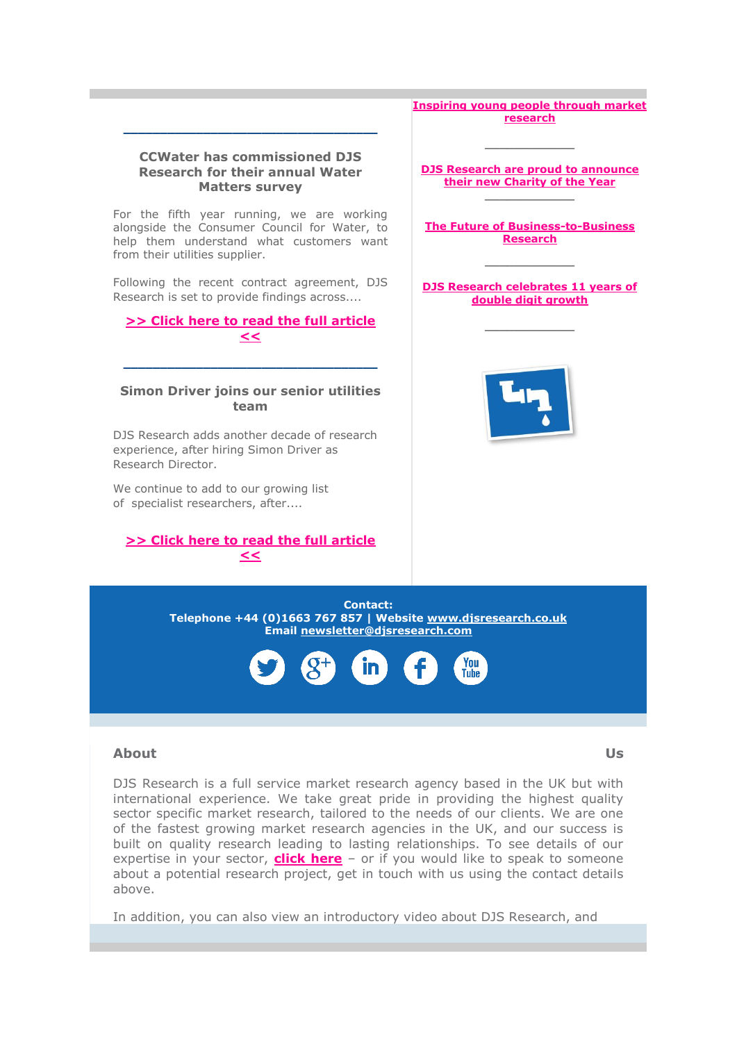

## **About Us**

DJS Research is a full service market research agency based in the UK but with international experience. We take great pride in providing the highest quality sector specific market research, tailored to the needs of our clients. We are one of the fastest growing market research agencies in the UK, and our success is built on quality research leading to lasting relationships. To see details of our expertise in your sector, **[click here](http://click.icptrack.com/icp/relay.php?r=&msgid=0&act=111111&c=948381&destination=http%3A%2F%2Fwww.djsresearch.co.uk%2FsubLevels%2FsubLevel%2F18%2FUtilities)** – or if you would like to speak to someone about a potential research project, get in touch with us using the contact details above.

In addition, you can also view an introductory video about DJS Research, and